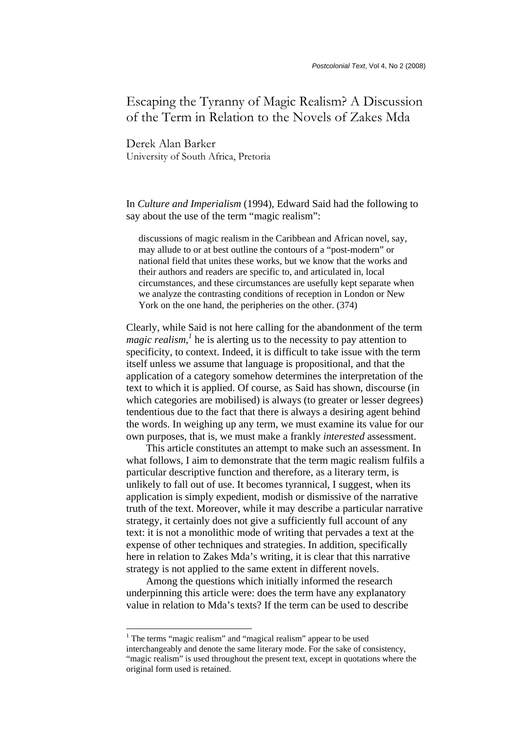# Escaping the Tyranny of Magic Realism? A Discussion of the Term in Relation to the Novels of Zakes Mda

Derek Alan Barker University of South Africa, Pretoria

In *Culture and Imperialism* (1994), Edward Said had the following to say about the use of the term "magic realism":

discussions of magic realism in the Caribbean and African novel, say, may allude to or at best outline the contours of a "post-modern" or national field that unites these works, but we know that the works and their authors and readers are specific to, and articulated in, local circumstances, and these circumstances are usefully kept separate when we analyze the contrasting conditions of reception in London or New York on the one hand, the peripheries on the other.  $(374)$ 

Clearly, while Said is not here calling for the abandonment of the term *magic realism*,<sup>1</sup> he is alerting us to the necessity to pay attention to specificity, to context. Indeed, it is difficult to take issue with the term itself unless we assume that language is propositional, and that the application of a category somehow determines the interpretation of the text to which it is applied. Of course, as Said has shown, discourse (in which categories are mobilised) is always (to greater or lesser degrees) tendentious due to the fact that there is always a desiring agent behind the words. In weighing up any term, we must examine its value for our own purposes, that is, we must make a frankly *interested* assessment.

This article constitutes an attempt to make such an assessment. In what follows, I aim to demonstrate that the term magic realism fulfils a particular descriptive function and therefore, as a literary term, is unlikely to fall out of use. It becomes tyrannical, I suggest, when its application is simply expedient, modish or dismissive of the narrative truth of the text. Moreover, while it may describe a particular narrative strategy, it certainly does not give a sufficiently full account of any text: it is not a monolithic mode of writing that pervades a text at the expense of other techniques and strategies. In addition, specifically here in relation to Zakes Mda's writing, it is clear that this narrative strategy is not applied to the same extent in different novels.

Among the questions which initially informed the research underpinning this article were: does the term have any explanatory value in relation to Mda's texts? If the term can be used to describe

l

<sup>&</sup>lt;sup>1</sup> The terms "magic realism" and "magical realism" appear to be used interchangeably and denote the same literary mode. For the sake of consistency, "magic realism" is used throughout the present text, except in quotations where the original form used is retained.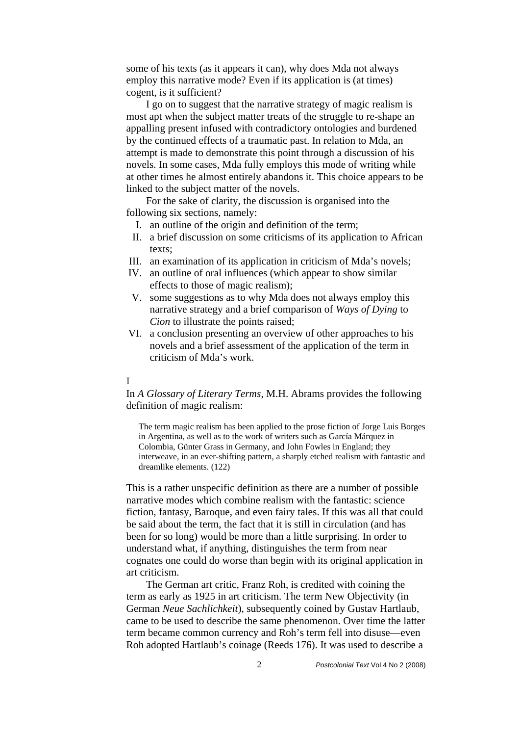some of his texts (as it appears it can), why does Mda not always employ this narrative mode? Even if its application is (at times) cogent, is it sufficient?

I go on to suggest that the narrative strategy of magic realism is most apt when the subject matter treats of the struggle to re-shape an appalling present infused with contradictory ontologies and burdened by the continued effects of a traumatic past. In relation to Mda, an attempt is made to demonstrate this point through a discussion of his novels. In some cases, Mda fully employs this mode of writing while at other times he almost entirely abandons it. This choice appears to be linked to the subject matter of the novels.

For the sake of clarity, the discussion is organised into the following six sections, namely:

- I. an outline of the origin and definition of the term;
- II. a brief discussion on some criticisms of its application to African texts;
- III. an examination of its application in criticism of Mda's novels;
- IV. an outline of oral influences (which appear to show similar effects to those of magic realism);
- V. some suggestions as to why Mda does not always employ this narrative strategy and a brief comparison of *Ways of Dying* to *Cion* to illustrate the points raised;
- VI. a conclusion presenting an overview of other approaches to his novels and a brief assessment of the application of the term in criticism of Mda's work.

## I

In *A Glossary of Literary Terms*, M.H. Abrams provides the following definition of magic realism:

The term magic realism has been applied to the prose fiction of Jorge Luis Borges in Argentina, as well as to the work of writers such as García Márquez in Colombia, Günter Grass in Germany, and John Fowles in England; they interweave, in an ever-shifting pattern, a sharply etched realism with fantastic and dreamlike elements. (122)

This is a rather unspecific definition as there are a number of possible narrative modes which combine realism with the fantastic: science fiction, fantasy, Baroque, and even fairy tales. If this was all that could be said about the term, the fact that it is still in circulation (and has been for so long) would be more than a little surprising. In order to understand what, if anything, distinguishes the term from near cognates one could do worse than begin with its original application in art criticism.

The German art critic, Franz Roh, is credited with coining the term as early as 1925 in art criticism. The term New Objectivity (in German *Neue Sachlichkeit*), subsequently coined by Gustav Hartlaub, came to be used to describe the same phenomenon. Over time the latter term became common currency and Roh's term fell into disuse—even Roh adopted Hartlaub's coinage (Reeds 176). It was used to describe a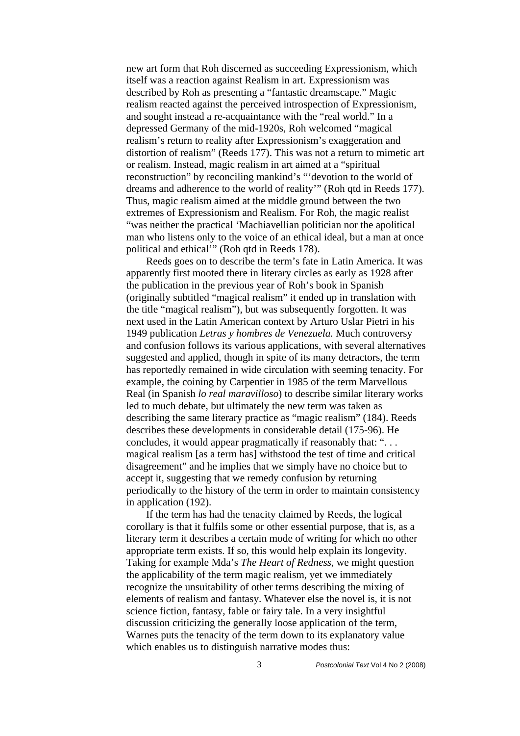new art form that Roh discerned as succeeding Expressionism, which itself was a reaction against Realism in art. Expressionism was described by Roh as presenting a "fantastic dreamscape." Magic realism reacted against the perceived introspection of Expressionism, and sought instead a re-acquaintance with the "real world." In a depressed Germany of the mid-1920s, Roh welcomed "magical realism's return to reality after Expressionism's exaggeration and distortion of realism" (Reeds 177). This was not a return to mimetic art or realism. Instead, magic realism in art aimed at a "spiritual reconstruction" by reconciling mankind's "'devotion to the world of dreams and adherence to the world of reality'" (Roh qtd in Reeds 177). Thus, magic realism aimed at the middle ground between the two extremes of Expressionism and Realism. For Roh, the magic realist "was neither the practical 'Machiavellian politician nor the apolitical man who listens only to the voice of an ethical ideal, but a man at once political and ethical'" (Roh qtd in Reeds 178).

Reeds goes on to describe the term's fate in Latin America. It was apparently first mooted there in literary circles as early as 1928 after the publication in the previous year of Roh's book in Spanish (originally subtitled "magical realism" it ended up in translation with the title "magical realism"), but was subsequently forgotten. It was next used in the Latin American context by Arturo Uslar Pietri in his 1949 publication *Letras y hombres de Venezuela.* Much controversy and confusion follows its various applications, with several alternatives suggested and applied, though in spite of its many detractors, the term has reportedly remained in wide circulation with seeming tenacity. For example, the coining by Carpentier in 1985 of the term Marvellous Real (in Spanish *lo real maravilloso*) to describe similar literary works led to much debate, but ultimately the new term was taken as describing the same literary practice as "magic realism" (184). Reeds describes these developments in considerable detail (175-96). He concludes, it would appear pragmatically if reasonably that: ". . . magical realism [as a term has] withstood the test of time and critical disagreement" and he implies that we simply have no choice but to accept it, suggesting that we remedy confusion by returning periodically to the history of the term in order to maintain consistency in application (192).

If the term has had the tenacity claimed by Reeds, the logical corollary is that it fulfils some or other essential purpose, that is, as a literary term it describes a certain mode of writing for which no other appropriate term exists. If so, this would help explain its longevity. Taking for example Mda's *The Heart of Redness*, we might question the applicability of the term magic realism, yet we immediately recognize the unsuitability of other terms describing the mixing of elements of realism and fantasy. Whatever else the novel is, it is not science fiction, fantasy, fable or fairy tale. In a very insightful discussion criticizing the generally loose application of the term, Warnes puts the tenacity of the term down to its explanatory value which enables us to distinguish narrative modes thus: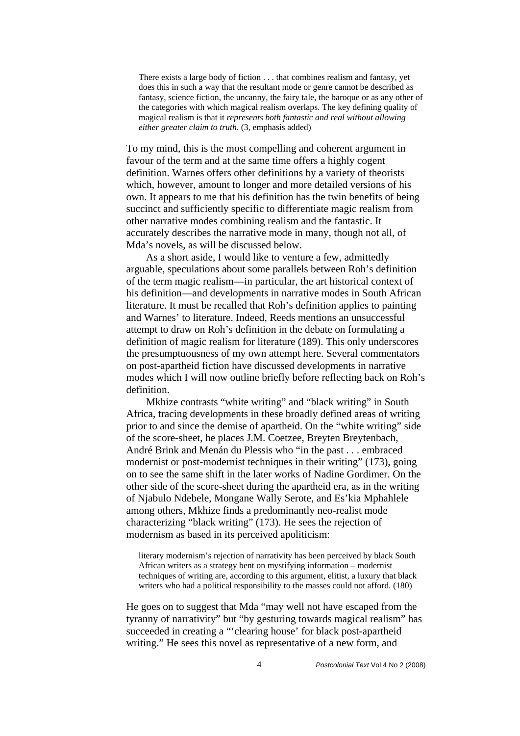There exists a large body of fiction . . . that combines realism and fantasy, yet does this in such a way that the resultant mode or genre cannot be described as fantasy, science fiction, the uncanny, the fairy tale, the baroque or as any other of the categories with which magical realism overlaps. The key defining quality of magical realism is that it *represents both fantastic and real without allowing either greater claim to truth*. (3, emphasis added)

To my mind, this is the most compelling and coherent argument in favour of the term and at the same time offers a highly cogent definition. Warnes offers other definitions by a variety of theorists which, however, amount to longer and more detailed versions of his own. It appears to me that his definition has the twin benefits of being succinct and sufficiently specific to differentiate magic realism from other narrative modes combining realism and the fantastic. It accurately describes the narrative mode in many, though not all, of Mda's novels, as will be discussed below.

As a short aside, I would like to venture a few, admittedly arguable, speculations about some parallels between Roh's definition of the term magic realism—in particular, the art historical context of his definition—and developments in narrative modes in South African literature. It must be recalled that Roh's definition applies to painting and Warnes' to literature. Indeed, Reeds mentions an unsuccessful attempt to draw on Roh's definition in the debate on formulating a definition of magic realism for literature (189). This only underscores the presumptuousness of my own attempt here. Several commentators on post-apartheid fiction have discussed developments in narrative modes which I will now outline briefly before reflecting back on Roh's definition.

Mkhize contrasts "white writing" and "black writing" in South Africa, tracing developments in these broadly defined areas of writing prior to and since the demise of apartheid. On the "white writing" side of the score-sheet, he places J.M. Coetzee, Breyten Breytenbach, André Brink and Menán du Plessis who "in the past . . . embraced modernist or post-modernist techniques in their writing" (173), going on to see the same shift in the later works of Nadine Gordimer. On the other side of the score-sheet during the apartheid era, as in the writing of Njabulo Ndebele, Mongane Wally Serote, and Es'kia Mphahlele among others, Mkhize finds a predominantly neo-realist mode characterizing "black writing" (173). He sees the rejection of modernism as based in its perceived apoliticism:

literary modernism's rejection of narrativity has been perceived by black South African writers as a strategy bent on mystifying information – modernist techniques of writing are, according to this argument, elitist, a luxury that black writers who had a political responsibility to the masses could not afford. (180)

He goes on to suggest that Mda "may well not have escaped from the tyranny of narrativity" but "by gesturing towards magical realism" has succeeded in creating a "'clearing house' for black post-apartheid writing." He sees this novel as representative of a new form, and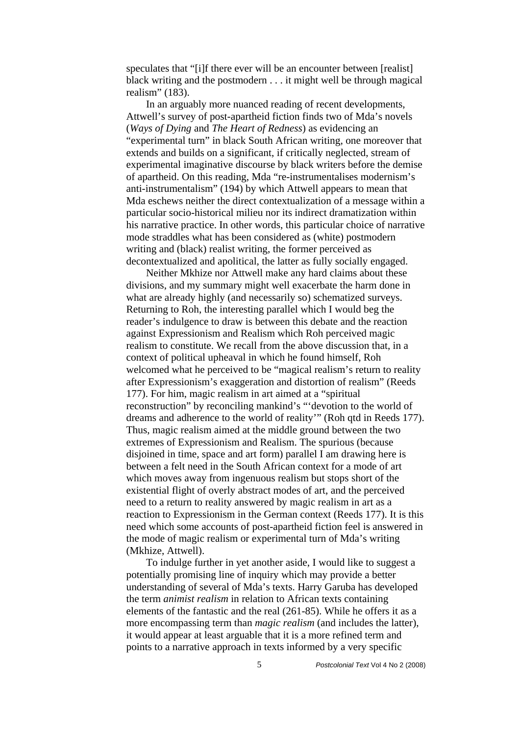speculates that "[i]f there ever will be an encounter between [realist] black writing and the postmodern . . . it might well be through magical realism" (183).

In an arguably more nuanced reading of recent developments, Attwell's survey of post-apartheid fiction finds two of Mda's novels (*Ways of Dying* and *The Heart of Redness*) as evidencing an "experimental turn" in black South African writing, one moreover that extends and builds on a significant, if critically neglected, stream of experimental imaginative discourse by black writers before the demise of apartheid. On this reading, Mda "re-instrumentalises modernism's anti-instrumentalism" (194) by which Attwell appears to mean that Mda eschews neither the direct contextualization of a message within a particular socio-historical milieu nor its indirect dramatization within his narrative practice. In other words, this particular choice of narrative mode straddles what has been considered as (white) postmodern writing and (black) realist writing, the former perceived as decontextualized and apolitical, the latter as fully socially engaged.

Neither Mkhize nor Attwell make any hard claims about these divisions, and my summary might well exacerbate the harm done in what are already highly (and necessarily so) schematized surveys. Returning to Roh, the interesting parallel which I would beg the reader's indulgence to draw is between this debate and the reaction against Expressionism and Realism which Roh perceived magic realism to constitute. We recall from the above discussion that, in a context of political upheaval in which he found himself, Roh welcomed what he perceived to be "magical realism's return to reality after Expressionism's exaggeration and distortion of realism" (Reeds 177). For him, magic realism in art aimed at a "spiritual reconstruction" by reconciling mankind's "'devotion to the world of dreams and adherence to the world of reality'" (Roh qtd in Reeds 177). Thus, magic realism aimed at the middle ground between the two extremes of Expressionism and Realism. The spurious (because disjoined in time, space and art form) parallel I am drawing here is between a felt need in the South African context for a mode of art which moves away from ingenuous realism but stops short of the existential flight of overly abstract modes of art, and the perceived need to a return to reality answered by magic realism in art as a reaction to Expressionism in the German context (Reeds 177). It is this need which some accounts of post-apartheid fiction feel is answered in the mode of magic realism or experimental turn of Mda's writing (Mkhize, Attwell).

To indulge further in yet another aside, I would like to suggest a potentially promising line of inquiry which may provide a better understanding of several of Mda's texts. Harry Garuba has developed the term *animist realism* in relation to African texts containing elements of the fantastic and the real (261-85). While he offers it as a more encompassing term than *magic realism* (and includes the latter), it would appear at least arguable that it is a more refined term and points to a narrative approach in texts informed by a very specific

5 *Postcolonial Text* Vol 4 No 2 (2008)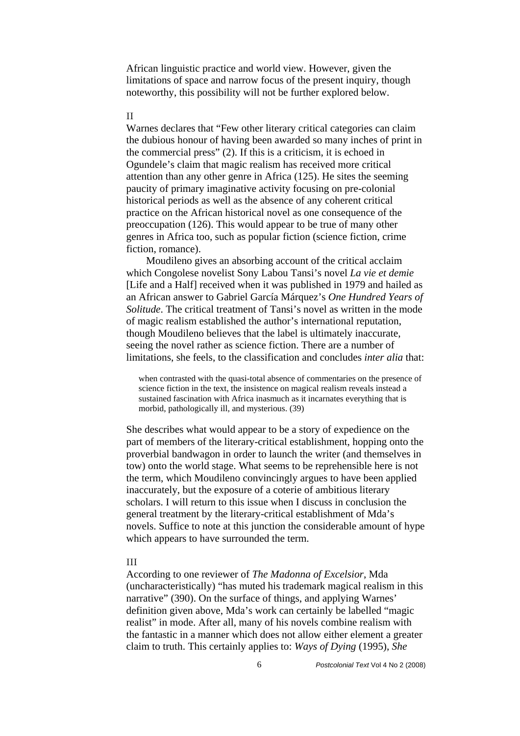African linguistic practice and world view. However, given the limitations of space and narrow focus of the present inquiry, though noteworthy, this possibility will not be further explored below.

#### II

Warnes declares that "Few other literary critical categories can claim the dubious honour of having been awarded so many inches of print in the commercial press" (2). If this is a criticism, it is echoed in Ogundele's claim that magic realism has received more critical attention than any other genre in Africa (125). He sites the seeming paucity of primary imaginative activity focusing on pre-colonial historical periods as well as the absence of any coherent critical practice on the African historical novel as one consequence of the preoccupation (126). This would appear to be true of many other genres in Africa too, such as popular fiction (science fiction, crime fiction, romance).

Moudileno gives an absorbing account of the critical acclaim which Congolese novelist Sony Labou Tansi's novel *La vie et demie*  [Life and a Half] received when it was published in 1979 and hailed as an African answer to Gabriel García Márquez's *One Hundred Years of Solitude*. The critical treatment of Tansi's novel as written in the mode of magic realism established the author's international reputation, though Moudileno believes that the label is ultimately inaccurate, seeing the novel rather as science fiction. There are a number of limitations, she feels, to the classification and concludes *inter alia* that:

when contrasted with the quasi-total absence of commentaries on the presence of science fiction in the text, the insistence on magical realism reveals instead a sustained fascination with Africa inasmuch as it incarnates everything that is morbid, pathologically ill, and mysterious. (39)

She describes what would appear to be a story of expedience on the part of members of the literary-critical establishment, hopping onto the proverbial bandwagon in order to launch the writer (and themselves in tow) onto the world stage. What seems to be reprehensible here is not the term, which Moudileno convincingly argues to have been applied inaccurately, but the exposure of a coterie of ambitious literary scholars. I will return to this issue when I discuss in conclusion the general treatment by the literary-critical establishment of Mda's novels. Suffice to note at this junction the considerable amount of hype which appears to have surrounded the term.

### III

According to one reviewer of *The Madonna of Excelsior*, Mda (uncharacteristically) "has muted his trademark magical realism in this narrative" (390). On the surface of things, and applying Warnes' definition given above, Mda's work can certainly be labelled "magic realist" in mode. After all, many of his novels combine realism with the fantastic in a manner which does not allow either element a greater claim to truth. This certainly applies to: *Ways of Dying* (1995), *She*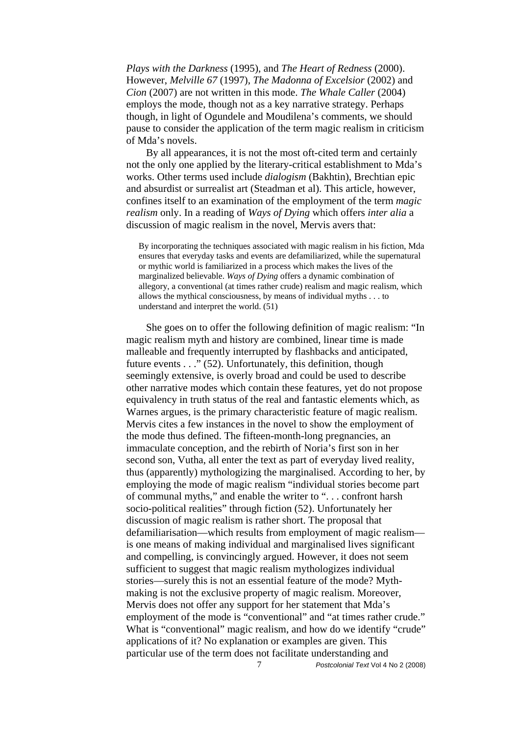*Plays with the Darkness* (1995), and *The Heart of Redness* (2000). However, *Melville 67* (1997), *The Madonna of Excelsior* (2002) and *Cion* (2007) are not written in this mode. *The Whale Caller* (2004) employs the mode, though not as a key narrative strategy. Perhaps though, in light of Ogundele and Moudilena's comments, we should pause to consider the application of the term magic realism in criticism of Mda's novels.

By all appearances, it is not the most oft-cited term and certainly not the only one applied by the literary-critical establishment to Mda's works. Other terms used include *dialogism* (Bakhtin), Brechtian epic and absurdist or surrealist art (Steadman et al). This article, however, confines itself to an examination of the employment of the term *magic realism* only. In a reading of *Ways of Dying* which offers *inter alia* a discussion of magic realism in the novel, Mervis avers that:

By incorporating the techniques associated with magic realism in his fiction, Mda ensures that everyday tasks and events are defamiliarized, while the supernatural or mythic world is familiarized in a process which makes the lives of the marginalized believable. *Ways of Dying* offers a dynamic combination of allegory, a conventional (at times rather crude) realism and magic realism, which allows the mythical consciousness, by means of individual myths . . . to understand and interpret the world. (51)

She goes on to offer the following definition of magic realism: "In magic realism myth and history are combined, linear time is made malleable and frequently interrupted by flashbacks and anticipated, future events . . ." (52). Unfortunately, this definition, though seemingly extensive, is overly broad and could be used to describe other narrative modes which contain these features, yet do not propose equivalency in truth status of the real and fantastic elements which, as Warnes argues, is the primary characteristic feature of magic realism. Mervis cites a few instances in the novel to show the employment of the mode thus defined. The fifteen-month-long pregnancies, an immaculate conception, and the rebirth of Noria's first son in her second son, Vutha, all enter the text as part of everyday lived reality, thus (apparently) mythologizing the marginalised. According to her, by employing the mode of magic realism "individual stories become part of communal myths," and enable the writer to ". . . confront harsh socio-political realities" through fiction (52). Unfortunately her discussion of magic realism is rather short. The proposal that defamiliarisation—which results from employment of magic realism is one means of making individual and marginalised lives significant and compelling, is convincingly argued. However, it does not seem sufficient to suggest that magic realism mythologizes individual stories—surely this is not an essential feature of the mode? Mythmaking is not the exclusive property of magic realism. Moreover, Mervis does not offer any support for her statement that Mda's employment of the mode is "conventional" and "at times rather crude." What is "conventional" magic realism, and how do we identify "crude" applications of it? No explanation or examples are given. This particular use of the term does not facilitate understanding and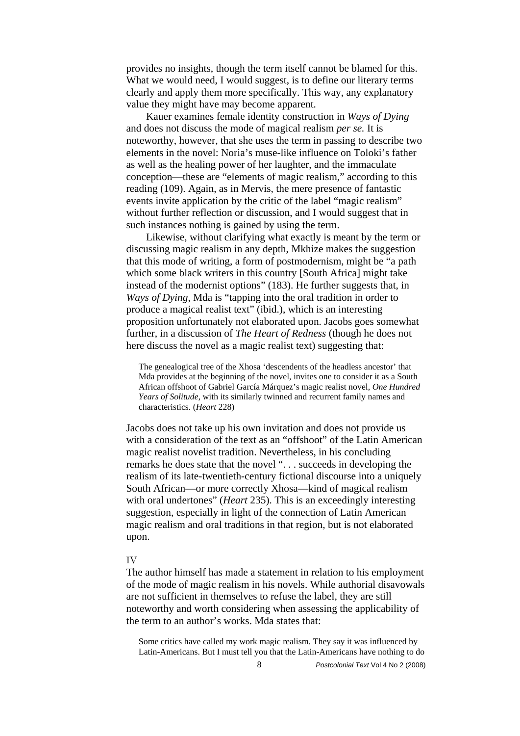provides no insights, though the term itself cannot be blamed for this. What we would need, I would suggest, is to define our literary terms clearly and apply them more specifically. This way, any explanatory value they might have may become apparent.

Kauer examines female identity construction in *Ways of Dying* and does not discuss the mode of magical realism *per se.* It is noteworthy, however, that she uses the term in passing to describe two elements in the novel: Noria's muse-like influence on Toloki's father as well as the healing power of her laughter, and the immaculate conception—these are "elements of magic realism," according to this reading (109). Again, as in Mervis, the mere presence of fantastic events invite application by the critic of the label "magic realism" without further reflection or discussion, and I would suggest that in such instances nothing is gained by using the term.

Likewise, without clarifying what exactly is meant by the term or discussing magic realism in any depth, Mkhize makes the suggestion that this mode of writing, a form of postmodernism, might be "a path which some black writers in this country [South Africa] might take instead of the modernist options" (183). He further suggests that, in *Ways of Dying*, Mda is "tapping into the oral tradition in order to produce a magical realist text" (ibid.), which is an interesting proposition unfortunately not elaborated upon. Jacobs goes somewhat further, in a discussion of *The Heart of Redness* (though he does not here discuss the novel as a magic realist text) suggesting that:

The genealogical tree of the Xhosa 'descendents of the headless ancestor' that Mda provides at the beginning of the novel, invites one to consider it as a South African offshoot of Gabriel García Márquez's magic realist novel, *One Hundred Years of Solitude*, with its similarly twinned and recurrent family names and characteristics. (*Heart* 228)

Jacobs does not take up his own invitation and does not provide us with a consideration of the text as an "offshoot" of the Latin American magic realist novelist tradition. Nevertheless, in his concluding remarks he does state that the novel ". . . succeeds in developing the realism of its late-twentieth-century fictional discourse into a uniquely South African—or more correctly Xhosa—kind of magical realism with oral undertones" (*Heart* 235). This is an exceedingly interesting suggestion, especially in light of the connection of Latin American magic realism and oral traditions in that region, but is not elaborated upon.

#### IV

The author himself has made a statement in relation to his employment of the mode of magic realism in his novels. While authorial disavowals are not sufficient in themselves to refuse the label, they are still noteworthy and worth considering when assessing the applicability of the term to an author's works. Mda states that:

Some critics have called my work magic realism. They say it was influenced by Latin-Americans. But I must tell you that the Latin-Americans have nothing to do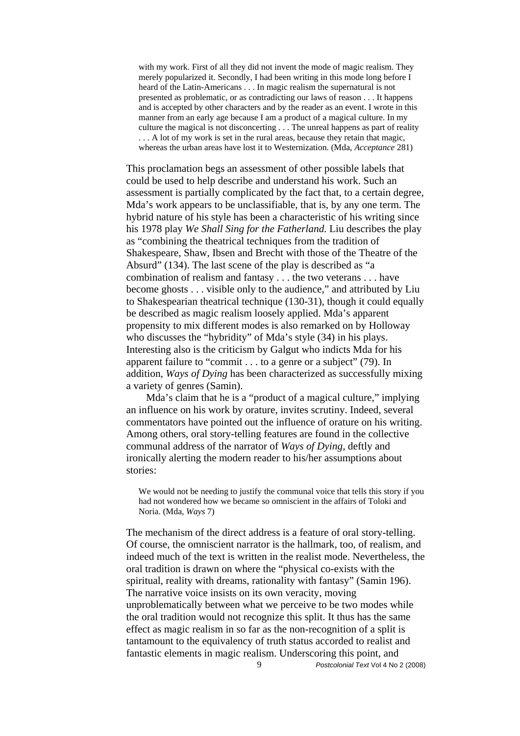with my work. First of all they did not invent the mode of magic realism. They merely popularized it. Secondly, I had been writing in this mode long before I heard of the Latin-Americans . . . In magic realism the supernatural is not presented as problematic, or as contradicting our laws of reason . . . It happens and is accepted by other characters and by the reader as an event. I wrote in this manner from an early age because I am a product of a magical culture. In my culture the magical is not disconcerting . . . The unreal happens as part of reality ... A lot of my work is set in the rural areas, because they retain that magic, whereas the urban areas have lost it to Westernization. (Mda, *Acceptance* 281)

This proclamation begs an assessment of other possible labels that could be used to help describe and understand his work. Such an assessment is partially complicated by the fact that, to a certain degree, Mda's work appears to be unclassifiable, that is, by any one term. The hybrid nature of his style has been a characteristic of his writing since his 1978 play *We Shall Sing for the Fatherland.* Liu describes the play as "combining the theatrical techniques from the tradition of Shakespeare, Shaw, Ibsen and Brecht with those of the Theatre of the Absurd" (134). The last scene of the play is described as "a combination of realism and fantasy . . . the two veterans . . . have become ghosts . . . visible only to the audience," and attributed by Liu to Shakespearian theatrical technique (130-31), though it could equally be described as magic realism loosely applied. Mda's apparent propensity to mix different modes is also remarked on by Holloway who discusses the "hybridity" of Mda's style (34) in his plays. Interesting also is the criticism by Galgut who indicts Mda for his apparent failure to "commit . . . to a genre or a subject" (79). In addition, *Ways of Dying* has been characterized as successfully mixing a variety of genres (Samin).

Mda's claim that he is a "product of a magical culture," implying an influence on his work by orature, invites scrutiny. Indeed, several commentators have pointed out the influence of orature on his writing. Among others, oral story-telling features are found in the collective communal address of the narrator of *Ways of Dying*, deftly and ironically alerting the modern reader to his/her assumptions about stories:

We would not be needing to justify the communal voice that tells this story if you had not wondered how we became so omniscient in the affairs of Toloki and Noria. (Mda, *Ways* 7)

The mechanism of the direct address is a feature of oral story-telling. Of course, the omniscient narrator is the hallmark, too, of realism, and indeed much of the text is written in the realist mode. Nevertheless, the oral tradition is drawn on where the "physical co-exists with the spiritual, reality with dreams, rationality with fantasy" (Samin 196). The narrative voice insists on its own veracity, moving unproblematically between what we perceive to be two modes while the oral tradition would not recognize this split. It thus has the same effect as magic realism in so far as the non-recognition of a split is tantamount to the equivalency of truth status accorded to realist and fantastic elements in magic realism. Underscoring this point, and

9 *Postcolonial Text* Vol 4 No 2 (2008)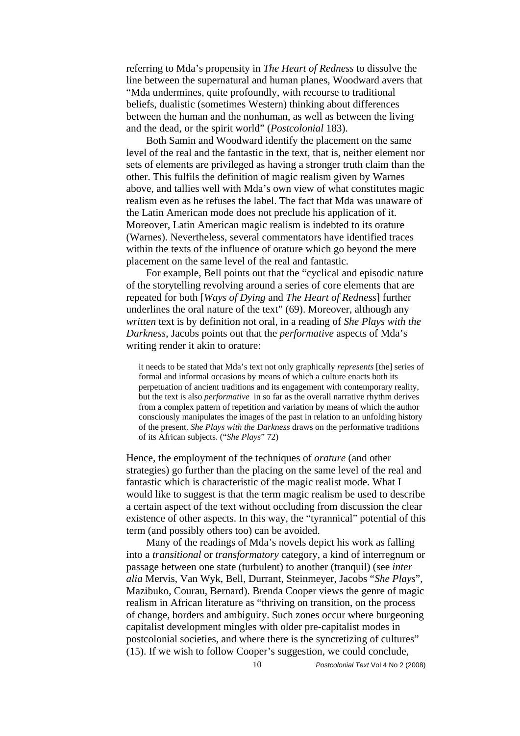referring to Mda's propensity in *The Heart of Redness* to dissolve the line between the supernatural and human planes, Woodward avers that "Mda undermines, quite profoundly, with recourse to traditional beliefs, dualistic (sometimes Western) thinking about differences between the human and the nonhuman, as well as between the living and the dead, or the spirit world" (*Postcolonial* 183).

Both Samin and Woodward identify the placement on the same level of the real and the fantastic in the text, that is, neither element nor sets of elements are privileged as having a stronger truth claim than the other. This fulfils the definition of magic realism given by Warnes above, and tallies well with Mda's own view of what constitutes magic realism even as he refuses the label. The fact that Mda was unaware of the Latin American mode does not preclude his application of it. Moreover, Latin American magic realism is indebted to its orature (Warnes). Nevertheless, several commentators have identified traces within the texts of the influence of orature which go beyond the mere placement on the same level of the real and fantastic.

For example, Bell points out that the "cyclical and episodic nature of the storytelling revolving around a series of core elements that are repeated for both [*Ways of Dying* and *The Heart of Redness*] further underlines the oral nature of the text" (69). Moreover, although any *written* text is by definition not oral, in a reading of *She Plays with the Darkness*, Jacobs points out that the *performative* aspects of Mda's writing render it akin to orature:

it needs to be stated that Mda's text not only graphically *represents* [the] series of formal and informal occasions by means of which a culture enacts both its perpetuation of ancient traditions and its engagement with contemporary reality, but the text is also *performative* in so far as the overall narrative rhythm derives from a complex pattern of repetition and variation by means of which the author consciously manipulates the images of the past in relation to an unfolding history of the present. *She Plays with the Darkness* draws on the performative traditions of its African subjects. ("*She Plays*" 72)

Hence, the employment of the techniques of *orature* (and other strategies) go further than the placing on the same level of the real and fantastic which is characteristic of the magic realist mode. What I would like to suggest is that the term magic realism be used to describe a certain aspect of the text without occluding from discussion the clear existence of other aspects. In this way, the "tyrannical" potential of this term (and possibly others too) can be avoided.

Many of the readings of Mda's novels depict his work as falling into a *transitional* or *transformatory* category, a kind of interregnum or passage between one state (turbulent) to another (tranquil) (see *inter alia* Mervis, Van Wyk, Bell, Durrant, Steinmeyer, Jacobs "*She Plays*", Mazibuko, Courau, Bernard). Brenda Cooper views the genre of magic realism in African literature as "thriving on transition, on the process of change, borders and ambiguity. Such zones occur where burgeoning capitalist development mingles with older pre-capitalist modes in postcolonial societies, and where there is the syncretizing of cultures" (15). If we wish to follow Cooper's suggestion, we could conclude,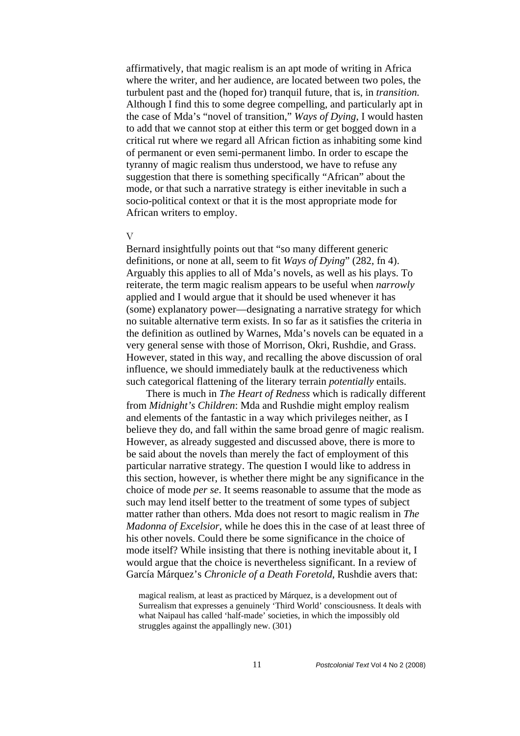affirmatively, that magic realism is an apt mode of writing in Africa where the writer, and her audience, are located between two poles, the turbulent past and the (hoped for) tranquil future, that is, in *transition.* Although I find this to some degree compelling, and particularly apt in the case of Mda's "novel of transition," *Ways of Dying*, I would hasten to add that we cannot stop at either this term or get bogged down in a critical rut where we regard all African fiction as inhabiting some kind of permanent or even semi-permanent limbo. In order to escape the tyranny of magic realism thus understood, we have to refuse any suggestion that there is something specifically "African" about the mode, or that such a narrative strategy is either inevitable in such a socio-political context or that it is the most appropriate mode for African writers to employ.

# V

Bernard insightfully points out that "so many different generic definitions, or none at all, seem to fit *Ways of Dying*" (282, fn 4). Arguably this applies to all of Mda's novels, as well as his plays. To reiterate, the term magic realism appears to be useful when *narrowly*  applied and I would argue that it should be used whenever it has (some) explanatory power—designating a narrative strategy for which no suitable alternative term exists. In so far as it satisfies the criteria in the definition as outlined by Warnes, Mda's novels can be equated in a very general sense with those of Morrison, Okri, Rushdie, and Grass. However, stated in this way, and recalling the above discussion of oral influence, we should immediately baulk at the reductiveness which such categorical flattening of the literary terrain *potentially* entails.

There is much in *The Heart of Redness* which is radically different from *Midnight's Children*: Mda and Rushdie might employ realism and elements of the fantastic in a way which privileges neither, as I believe they do, and fall within the same broad genre of magic realism. However, as already suggested and discussed above, there is more to be said about the novels than merely the fact of employment of this particular narrative strategy. The question I would like to address in this section, however, is whether there might be any significance in the choice of mode *per se*. It seems reasonable to assume that the mode as such may lend itself better to the treatment of some types of subject matter rather than others. Mda does not resort to magic realism in *The Madonna of Excelsior*, while he does this in the case of at least three of his other novels. Could there be some significance in the choice of mode itself? While insisting that there is nothing inevitable about it, I would argue that the choice is nevertheless significant. In a review of García Márquez's *Chronicle of a Death Foretold*, Rushdie avers that:

magical realism, at least as practiced by Márquez, is a development out of Surrealism that expresses a genuinely 'Third World' consciousness. It deals with what Naipaul has called 'half-made' societies, in which the impossibly old struggles against the appallingly new. (301)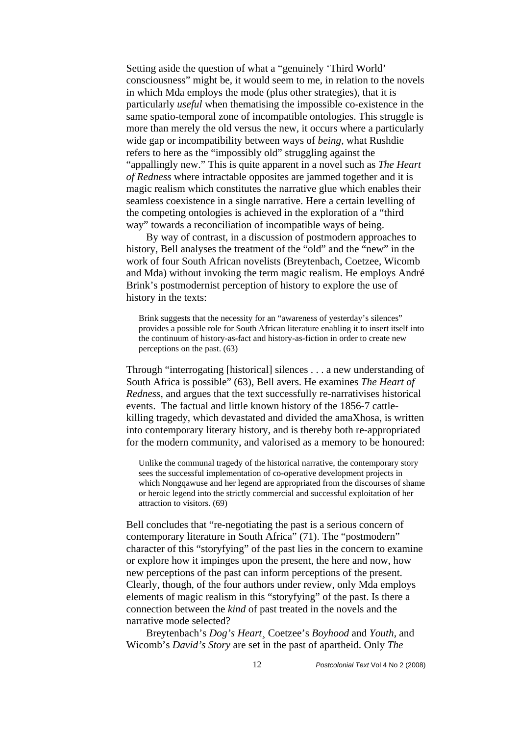Setting aside the question of what a "genuinely 'Third World' consciousness" might be, it would seem to me, in relation to the novels in which Mda employs the mode (plus other strategies), that it is particularly *useful* when thematising the impossible co-existence in the same spatio-temporal zone of incompatible ontologies. This struggle is more than merely the old versus the new, it occurs where a particularly wide gap or incompatibility between ways of *being*, what Rushdie refers to here as the "impossibly old" struggling against the "appallingly new." This is quite apparent in a novel such as *The Heart of Redness* where intractable opposites are jammed together and it is magic realism which constitutes the narrative glue which enables their seamless coexistence in a single narrative. Here a certain levelling of the competing ontologies is achieved in the exploration of a "third way" towards a reconciliation of incompatible ways of being.

By way of contrast, in a discussion of postmodern approaches to history, Bell analyses the treatment of the "old" and the "new" in the work of four South African novelists (Breytenbach, Coetzee, Wicomb and Mda) without invoking the term magic realism. He employs André Brink's postmodernist perception of history to explore the use of history in the texts:

Brink suggests that the necessity for an "awareness of yesterday's silences" provides a possible role for South African literature enabling it to insert itself into the continuum of history-as-fact and history-as-fiction in order to create new perceptions on the past. (63)

Through "interrogating [historical] silences . . . a new understanding of South Africa is possible" (63), Bell avers. He examines *The Heart of Redness*, and argues that the text successfully re-narrativises historical events. The factual and little known history of the 1856-7 cattlekilling tragedy, which devastated and divided the amaXhosa, is written into contemporary literary history, and is thereby both re-appropriated for the modern community, and valorised as a memory to be honoured:

Unlike the communal tragedy of the historical narrative, the contemporary story sees the successful implementation of co-operative development projects in which Nongqawuse and her legend are appropriated from the discourses of shame or heroic legend into the strictly commercial and successful exploitation of her attraction to visitors. (69)

Bell concludes that "re-negotiating the past is a serious concern of contemporary literature in South Africa" (71). The "postmodern" character of this "storyfying" of the past lies in the concern to examine or explore how it impinges upon the present, the here and now, how new perceptions of the past can inform perceptions of the present. Clearly, though, of the four authors under review, only Mda employs elements of magic realism in this "storyfying" of the past. Is there a connection between the *kind* of past treated in the novels and the narrative mode selected?

Breytenbach's *Dog's Heart¸* Coetzee's *Boyhood* and *Youth*, and Wicomb's *David's Story* are set in the past of apartheid. Only *The*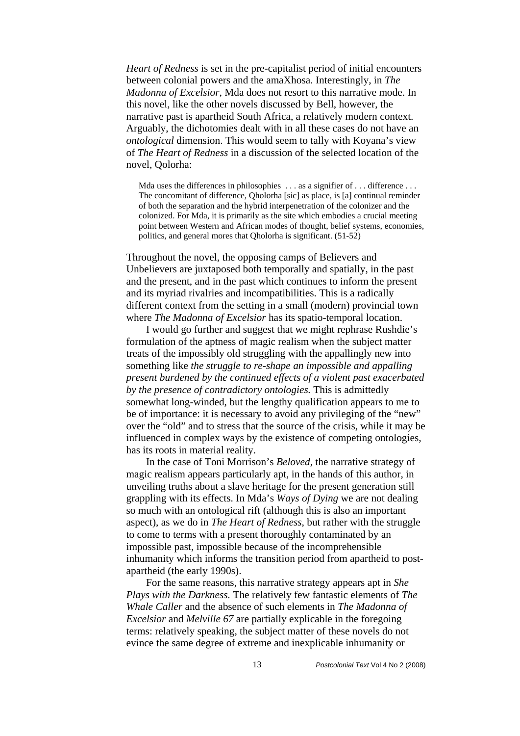*Heart of Redness* is set in the pre-capitalist period of initial encounters between colonial powers and the amaXhosa. Interestingly, in *The Madonna of Excelsior*, Mda does not resort to this narrative mode. In this novel, like the other novels discussed by Bell, however, the narrative past is apartheid South Africa, a relatively modern context. Arguably, the dichotomies dealt with in all these cases do not have an *ontological* dimension. This would seem to tally with Koyana's view of *The Heart of Redness* in a discussion of the selected location of the novel, Qolorha:

Mda uses the differences in philosophies ... as a signifier of ... difference ... The concomitant of difference, Qholorha [sic] as place, is [a] continual reminder of both the separation and the hybrid interpenetration of the colonizer and the colonized. For Mda, it is primarily as the site which embodies a crucial meeting point between Western and African modes of thought, belief systems, economies, politics, and general mores that Qholorha is significant. (51-52)

Throughout the novel, the opposing camps of Believers and Unbelievers are juxtaposed both temporally and spatially, in the past and the present, and in the past which continues to inform the present and its myriad rivalries and incompatibilities. This is a radically different context from the setting in a small (modern) provincial town where *The Madonna of Excelsior* has its spatio-temporal location.

I would go further and suggest that we might rephrase Rushdie's formulation of the aptness of magic realism when the subject matter treats of the impossibly old struggling with the appallingly new into something like *the struggle to re-shape an impossible and appalling present burdened by the continued effects of a violent past exacerbated by the presence of contradictory ontologies.* This is admittedly somewhat long-winded, but the lengthy qualification appears to me to be of importance: it is necessary to avoid any privileging of the "new" over the "old" and to stress that the source of the crisis, while it may be influenced in complex ways by the existence of competing ontologies, has its roots in material reality.

In the case of Toni Morrison's *Beloved*, the narrative strategy of magic realism appears particularly apt, in the hands of this author, in unveiling truths about a slave heritage for the present generation still grappling with its effects. In Mda's *Ways of Dying* we are not dealing so much with an ontological rift (although this is also an important aspect), as we do in *The Heart of Redness*, but rather with the struggle to come to terms with a present thoroughly contaminated by an impossible past, impossible because of the incomprehensible inhumanity which informs the transition period from apartheid to postapartheid (the early 1990s).

For the same reasons, this narrative strategy appears apt in *She Plays with the Darkness.* The relatively few fantastic elements of *The Whale Caller* and the absence of such elements in *The Madonna of Excelsior* and *Melville 67* are partially explicable in the foregoing terms: relatively speaking, the subject matter of these novels do not evince the same degree of extreme and inexplicable inhumanity or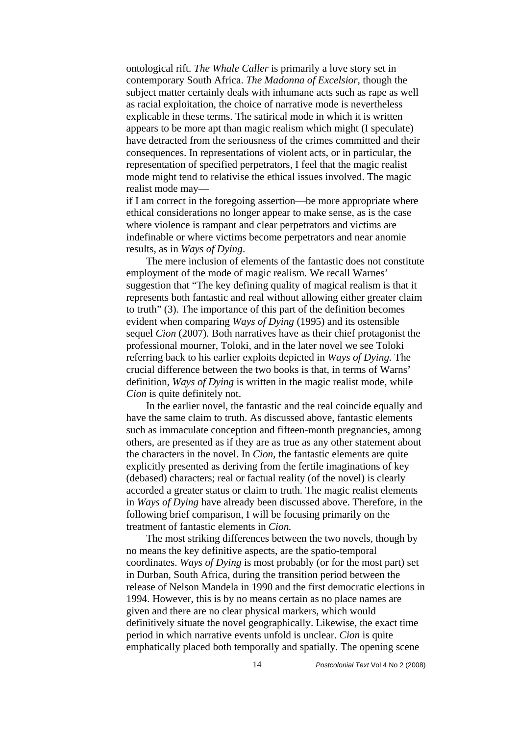ontological rift. *The Whale Caller* is primarily a love story set in contemporary South Africa. *The Madonna of Excelsior*, though the subject matter certainly deals with inhumane acts such as rape as well as racial exploitation, the choice of narrative mode is nevertheless explicable in these terms. The satirical mode in which it is written appears to be more apt than magic realism which might (I speculate) have detracted from the seriousness of the crimes committed and their consequences. In representations of violent acts, or in particular, the representation of specified perpetrators, I feel that the magic realist mode might tend to relativise the ethical issues involved. The magic realist mode may—

if I am correct in the foregoing assertion—be more appropriate where ethical considerations no longer appear to make sense, as is the case where violence is rampant and clear perpetrators and victims are indefinable or where victims become perpetrators and near anomie results, as in *Ways of Dying*.

The mere inclusion of elements of the fantastic does not constitute employment of the mode of magic realism. We recall Warnes' suggestion that "The key defining quality of magical realism is that it represents both fantastic and real without allowing either greater claim to truth" (3). The importance of this part of the definition becomes evident when comparing *Ways of Dying* (1995) and its ostensible sequel *Cion* (2007)*.* Both narratives have as their chief protagonist the professional mourner, Toloki, and in the later novel we see Toloki referring back to his earlier exploits depicted in *Ways of Dying.* The crucial difference between the two books is that, in terms of Warns' definition, *Ways of Dying* is written in the magic realist mode, while *Cion* is quite definitely not.

In the earlier novel, the fantastic and the real coincide equally and have the same claim to truth. As discussed above, fantastic elements such as immaculate conception and fifteen-month pregnancies, among others, are presented as if they are as true as any other statement about the characters in the novel. In *Cion*, the fantastic elements are quite explicitly presented as deriving from the fertile imaginations of key (debased) characters; real or factual reality (of the novel) is clearly accorded a greater status or claim to truth. The magic realist elements in *Ways of Dying* have already been discussed above. Therefore, in the following brief comparison, I will be focusing primarily on the treatment of fantastic elements in *Cion.* 

The most striking differences between the two novels, though by no means the key definitive aspects, are the spatio-temporal coordinates. *Ways of Dying* is most probably (or for the most part) set in Durban, South Africa, during the transition period between the release of Nelson Mandela in 1990 and the first democratic elections in 1994. However, this is by no means certain as no place names are given and there are no clear physical markers, which would definitively situate the novel geographically. Likewise, the exact time period in which narrative events unfold is unclear. *Cion* is quite emphatically placed both temporally and spatially. The opening scene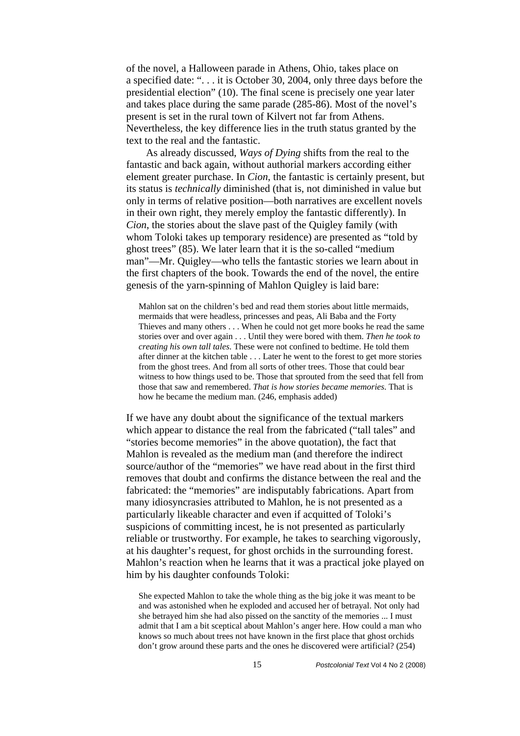of the novel, a Halloween parade in Athens, Ohio, takes place on a specified date: ". . . it is October 30, 2004, only three days before the presidential election" (10). The final scene is precisely one year later and takes place during the same parade (285-86). Most of the novel's present is set in the rural town of Kilvert not far from Athens. Nevertheless, the key difference lies in the truth status granted by the text to the real and the fantastic.

As already discussed, *Ways of Dying* shifts from the real to the fantastic and back again, without authorial markers according either element greater purchase. In *Cion*, the fantastic is certainly present, but its status is *technically* diminished (that is, not diminished in value but only in terms of relative position—both narratives are excellent novels in their own right, they merely employ the fantastic differently). In *Cion*, the stories about the slave past of the Quigley family (with whom Toloki takes up temporary residence) are presented as "told by ghost trees" (85). We later learn that it is the so-called "medium man"—Mr. Quigley—who tells the fantastic stories we learn about in the first chapters of the book. Towards the end of the novel, the entire genesis of the yarn-spinning of Mahlon Quigley is laid bare:

Mahlon sat on the children's bed and read them stories about little mermaids, mermaids that were headless, princesses and peas, Ali Baba and the Forty Thieves and many others . . . When he could not get more books he read the same stories over and over again . . . Until they were bored with them. *Then he took to creating his own tall tales*. These were not confined to bedtime. He told them after dinner at the kitchen table . . . Later he went to the forest to get more stories from the ghost trees. And from all sorts of other trees. Those that could bear witness to how things used to be. Those that sprouted from the seed that fell from those that saw and remembered. *That is how stories became memories*. That is how he became the medium man. (246, emphasis added)

If we have any doubt about the significance of the textual markers which appear to distance the real from the fabricated ("tall tales" and "stories become memories" in the above quotation), the fact that Mahlon is revealed as the medium man (and therefore the indirect source/author of the "memories" we have read about in the first third removes that doubt and confirms the distance between the real and the fabricated: the "memories" are indisputably fabrications. Apart from many idiosyncrasies attributed to Mahlon, he is not presented as a particularly likeable character and even if acquitted of Toloki's suspicions of committing incest, he is not presented as particularly reliable or trustworthy. For example, he takes to searching vigorously, at his daughter's request, for ghost orchids in the surrounding forest. Mahlon's reaction when he learns that it was a practical joke played on him by his daughter confounds Toloki:

She expected Mahlon to take the whole thing as the big joke it was meant to be and was astonished when he exploded and accused her of betrayal. Not only had she betrayed him she had also pissed on the sanctity of the memories ... I must admit that I am a bit sceptical about Mahlon's anger here. How could a man who knows so much about trees not have known in the first place that ghost orchids don't grow around these parts and the ones he discovered were artificial? (254)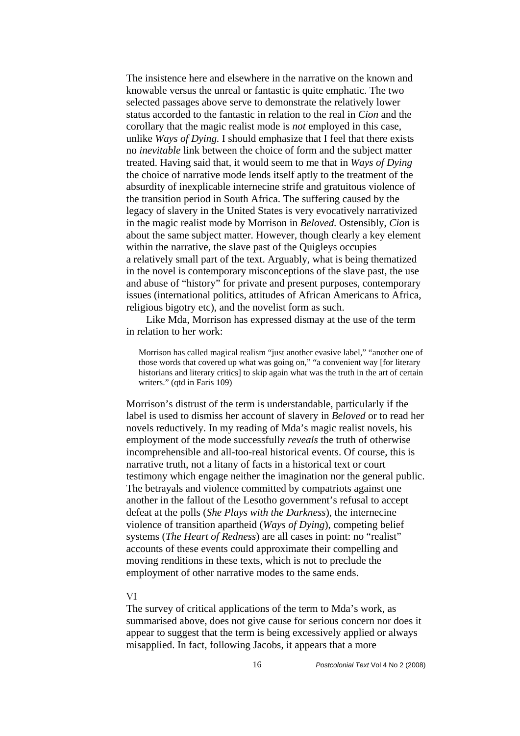The insistence here and elsewhere in the narrative on the known and knowable versus the unreal or fantastic is quite emphatic. The two selected passages above serve to demonstrate the relatively lower status accorded to the fantastic in relation to the real in *Cion* and the corollary that the magic realist mode is *not* employed in this case, unlike *Ways of Dying.* I should emphasize that I feel that there exists no *inevitable* link between the choice of form and the subject matter treated. Having said that, it would seem to me that in *Ways of Dying*  the choice of narrative mode lends itself aptly to the treatment of the absurdity of inexplicable internecine strife and gratuitous violence of the transition period in South Africa. The suffering caused by the legacy of slavery in the United States is very evocatively narrativized in the magic realist mode by Morrison in *Beloved.* Ostensibly, *Cion* is about the same subject matter. However, though clearly a key element within the narrative, the slave past of the Quigleys occupies a relatively small part of the text. Arguably, what is being thematized in the novel is contemporary misconceptions of the slave past, the use and abuse of "history" for private and present purposes, contemporary issues (international politics, attitudes of African Americans to Africa, religious bigotry etc), and the novelist form as such.

Like Mda, Morrison has expressed dismay at the use of the term in relation to her work:

Morrison has called magical realism "just another evasive label," "another one of those words that covered up what was going on," "a convenient way [for literary historians and literary critics] to skip again what was the truth in the art of certain writers." (qtd in Faris 109)

Morrison's distrust of the term is understandable, particularly if the label is used to dismiss her account of slavery in *Beloved* or to read her novels reductively. In my reading of Mda's magic realist novels, his employment of the mode successfully *reveals* the truth of otherwise incomprehensible and all-too-real historical events. Of course, this is narrative truth, not a litany of facts in a historical text or court testimony which engage neither the imagination nor the general public. The betrayals and violence committed by compatriots against one another in the fallout of the Lesotho government's refusal to accept defeat at the polls (*She Plays with the Darkness*), the internecine violence of transition apartheid (*Ways of Dying*), competing belief systems (*The Heart of Redness*) are all cases in point: no "realist" accounts of these events could approximate their compelling and moving renditions in these texts, which is not to preclude the employment of other narrative modes to the same ends.

## VI

The survey of critical applications of the term to Mda's work, as summarised above, does not give cause for serious concern nor does it appear to suggest that the term is being excessively applied or always misapplied. In fact, following Jacobs, it appears that a more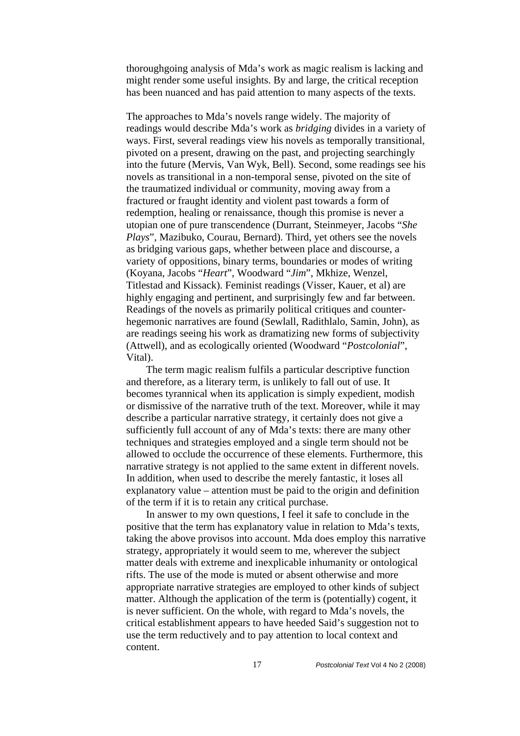thoroughgoing analysis of Mda's work as magic realism is lacking and might render some useful insights. By and large, the critical reception has been nuanced and has paid attention to many aspects of the texts.

The approaches to Mda's novels range widely. The majority of readings would describe Mda's work as *bridging* divides in a variety of ways. First, several readings view his novels as temporally transitional, pivoted on a present, drawing on the past, and projecting searchingly into the future (Mervis, Van Wyk, Bell). Second, some readings see his novels as transitional in a non-temporal sense, pivoted on the site of the traumatized individual or community, moving away from a fractured or fraught identity and violent past towards a form of redemption, healing or renaissance, though this promise is never a utopian one of pure transcendence (Durrant, Steinmeyer, Jacobs "*She Plays*", Mazibuko, Courau, Bernard). Third, yet others see the novels as bridging various gaps, whether between place and discourse, a variety of oppositions, binary terms, boundaries or modes of writing (Koyana, Jacobs "*Heart*", Woodward "*Jim*", Mkhize, Wenzel, Titlestad and Kissack). Feminist readings (Visser, Kauer, et al) are highly engaging and pertinent, and surprisingly few and far between. Readings of the novels as primarily political critiques and counterhegemonic narratives are found (Sewlall, Radithlalo, Samin, John), as are readings seeing his work as dramatizing new forms of subjectivity (Attwell), and as ecologically oriented (Woodward "*Postcolonial*", Vital).

The term magic realism fulfils a particular descriptive function and therefore, as a literary term, is unlikely to fall out of use. It becomes tyrannical when its application is simply expedient, modish or dismissive of the narrative truth of the text. Moreover, while it may describe a particular narrative strategy, it certainly does not give a sufficiently full account of any of Mda's texts: there are many other techniques and strategies employed and a single term should not be allowed to occlude the occurrence of these elements. Furthermore, this narrative strategy is not applied to the same extent in different novels. In addition, when used to describe the merely fantastic, it loses all explanatory value – attention must be paid to the origin and definition of the term if it is to retain any critical purchase.

In answer to my own questions, I feel it safe to conclude in the positive that the term has explanatory value in relation to Mda's texts, taking the above provisos into account. Mda does employ this narrative strategy, appropriately it would seem to me, wherever the subject matter deals with extreme and inexplicable inhumanity or ontological rifts. The use of the mode is muted or absent otherwise and more appropriate narrative strategies are employed to other kinds of subject matter. Although the application of the term is (potentially) cogent, it is never sufficient. On the whole, with regard to Mda's novels, the critical establishment appears to have heeded Said's suggestion not to use the term reductively and to pay attention to local context and content.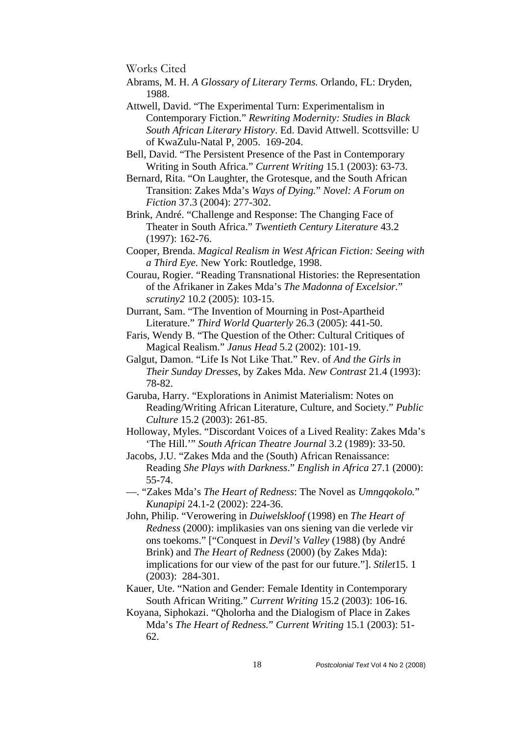Works Cited

- Abrams, M. H. *A Glossary of Literary Terms.* Orlando, FL: Dryden, 1988.
- Attwell, David. "The Experimental Turn: Experimentalism in Contemporary Fiction." *Rewriting Modernity: Studies in Black South African Literary History*. Ed. David Attwell. Scottsville: U of KwaZulu-Natal P, 2005. 169-204.
- Bell, David. "The Persistent Presence of the Past in Contemporary Writing in South Africa." *Current Writing* 15.1 (2003): 63-73.
- Bernard, Rita. "On Laughter, the Grotesque, and the South African Transition: Zakes Mda's *Ways of Dying.*" *Novel: A Forum on Fiction* 37.3 (2004): 277-302.
- Brink, André. "Challenge and Response: The Changing Face of Theater in South Africa." *Twentieth Century Literature* 43.2 (1997): 162-76.
- Cooper, Brenda. *Magical Realism in West African Fiction: Seeing with a Third Eye.* New York: Routledge, 1998.
- Courau, Rogier. "Reading Transnational Histories: the Representation of the Afrikaner in Zakes Mda's *The Madonna of Excelsior.*" *scrutiny2* 10.2 (2005): 103-15.
- Durrant, Sam. "The Invention of Mourning in Post-Apartheid Literature." *Third World Quarterly* 26.3 (2005): 441-50.
- Faris, Wendy B. "The Question of the Other: Cultural Critiques of Magical Realism." *Janus Head* 5.2 (2002): 101-19.
- Galgut, Damon. "Life Is Not Like That." Rev. of *And the Girls in Their Sunday Dresses*, by Zakes Mda. *New Contrast* 21.4 (1993): 78-82.
- Garuba, Harry. "Explorations in Animist Materialism: Notes on Reading/Writing African Literature, Culture, and Society." *Public Culture* 15.2 (2003): 261-85.
- Holloway, Myles. "Discordant Voices of a Lived Reality: Zakes Mda's 'The Hill.'" *South African Theatre Journal* 3.2 (1989): 33-50.
- Jacobs, J.U. "Zakes Mda and the (South) African Renaissance: Reading *She Plays with Darkness*." *English in Africa* 27.1 (2000): 55-74.
- —. "Zakes Mda's *The Heart of Redness*: The Novel as *Umngqokolo.*" *Kunapipi* 24.1-2 (2002): 224-36.
- John, Philip. "Verowering in *Duiwelskloof* (1998) en *The Heart of Redness* (2000): implikasies van ons siening van die verlede vir ons toekoms." ["Conquest in *Devil's Valley* (1988) (by André Brink) and *The Heart of Redness* (2000) (by Zakes Mda): implications for our view of the past for our future."]. *Stilet*15. 1 (2003): 284-301.
- Kauer, Ute. "Nation and Gender: Female Identity in Contemporary South African Writing." *Current Writing* 15.2 (2003): 106-16.
- Koyana, Siphokazi. "Qholorha and the Dialogism of Place in Zakes Mda's *The Heart of Redness.*" *Current Writing* 15.1 (2003): 51- 62.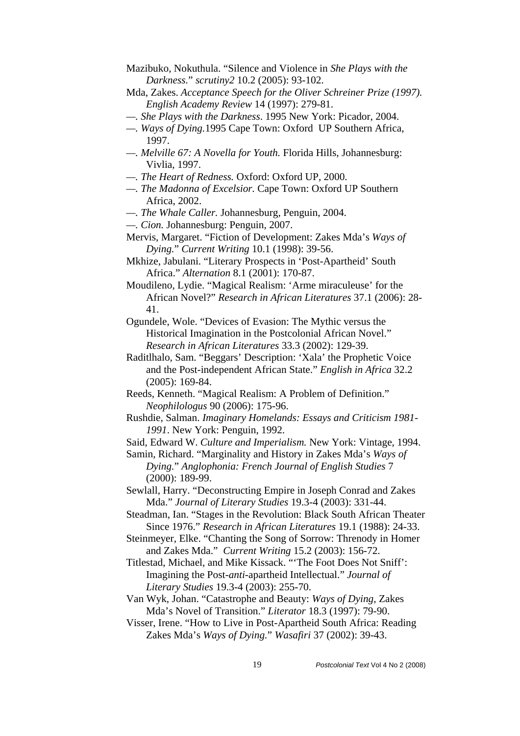- Mazibuko, Nokuthula. "Silence and Violence in *She Plays with the Darkness.*" *scrutiny2* 10.2 (2005): 93-102.
- Mda, Zakes. *Acceptance Speech for the Oliver Schreiner Prize (1997). English Academy Review* 14 (1997): 279-81.
- *—. She Plays with the Darkness*. 1995 New York: Picador, 2004.
- *—. Ways of Dying.*1995 Cape Town: Oxford UP Southern Africa, 1997.
- *—. Melville 67: A Novella for Youth.* Florida Hills, Johannesburg: Vivlia, 1997.
- *—. The Heart of Redness.* Oxford: Oxford UP, 2000.
- *—. The Madonna of Excelsior.* Cape Town: Oxford UP Southern Africa, 2002.
- *—. The Whale Caller.* Johannesburg, Penguin, 2004.
- *—. Cion.* Johannesburg: Penguin, 2007.

Mkhize, Jabulani. "Literary Prospects in 'Post-Apartheid' South Africa." *Alternation* 8.1 (2001): 170-87.

Moudileno, Lydie. "Magical Realism: 'Arme miraculeuse' for the African Novel?" *Research in African Literatures* 37.1 (2006): 28- 41.

Ogundele, Wole. "Devices of Evasion: The Mythic versus the Historical Imagination in the Postcolonial African Novel." *Research in African Literatures* 33.3 (2002): 129-39.

- Raditlhalo, Sam. "Beggars' Description: 'Xala' the Prophetic Voice and the Post-independent African State." *English in Africa* 32.2 (2005): 169-84.
- Reeds, Kenneth. "Magical Realism: A Problem of Definition." *Neophilologus* 90 (2006): 175-96.
- Rushdie, Salman. *Imaginary Homelands: Essays and Criticism 1981- 1991*. New York: Penguin, 1992.
- Said, Edward W. *Culture and Imperialism.* New York: Vintage, 1994.

Samin, Richard. "Marginality and History in Zakes Mda's *Ways of Dying.*" *Anglophonia: French Journal of English Studies* 7 (2000): 189-99.

Sewlall, Harry. "Deconstructing Empire in Joseph Conrad and Zakes Mda." *Journal of Literary Studies* 19.3-4 (2003): 331-44.

Steadman, Ian. "Stages in the Revolution: Black South African Theater Since 1976." *Research in African Literatures* 19.1 (1988): 24-33.

Steinmeyer, Elke. "Chanting the Song of Sorrow: Threnody in Homer and Zakes Mda." *Current Writing* 15.2 (2003): 156-72.

Titlestad, Michael, and Mike Kissack. "'The Foot Does Not Sniff': Imagining the Post-*anti*-apartheid Intellectual." *Journal of Literary Studies* 19.3-4 (2003): 255-70.

- Van Wyk, Johan. "Catastrophe and Beauty: *Ways of Dying*, Zakes Mda's Novel of Transition." *Literator* 18.3 (1997): 79-90.
- Visser, Irene. "How to Live in Post-Apartheid South Africa: Reading Zakes Mda's *Ways of Dying.*" *Wasafiri* 37 (2002): 39-43.

Mervis, Margaret. "Fiction of Development: Zakes Mda's *Ways of Dying.*" *Current Writing* 10.1 (1998): 39-56.